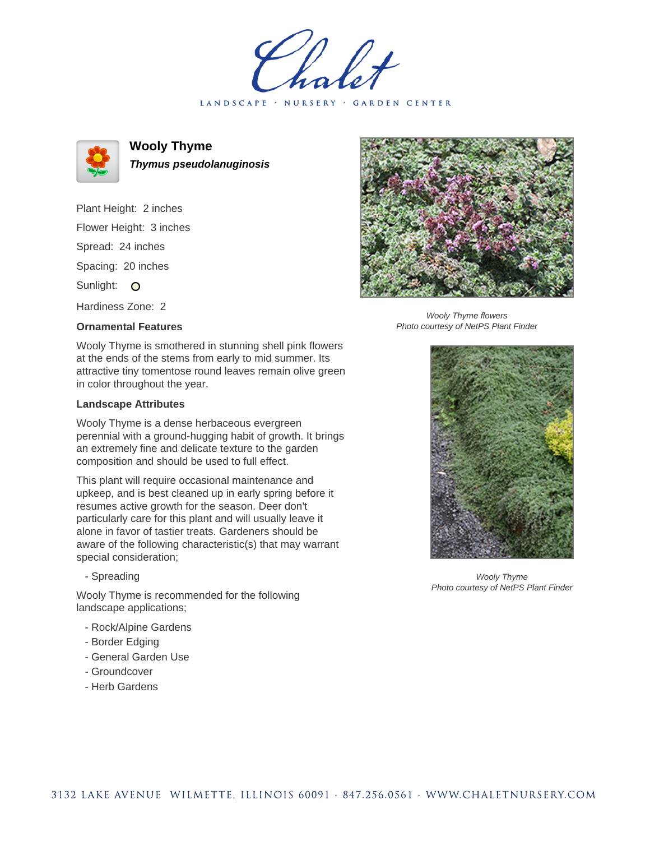holet LANDSCAPE · NURSERY · GARDEN CENTER



**Wooly Thyme Thymus pseudolanuginosis**

Plant Height: 2 inches Flower Height: 3 inches Spread: 24 inches Spacing: 20 inches Sunlight: O

Hardiness Zone: 2

## **Ornamental Features**

Wooly Thyme is smothered in stunning shell pink flowers at the ends of the stems from early to mid summer. Its attractive tiny tomentose round leaves remain olive green in color throughout the year.

## **Landscape Attributes**

Wooly Thyme is a dense herbaceous evergreen perennial with a ground-hugging habit of growth. It brings an extremely fine and delicate texture to the garden composition and should be used to full effect.

This plant will require occasional maintenance and upkeep, and is best cleaned up in early spring before it resumes active growth for the season. Deer don't particularly care for this plant and will usually leave it alone in favor of tastier treats. Gardeners should be aware of the following characteristic(s) that may warrant special consideration;

- Spreading

Wooly Thyme is recommended for the following landscape applications;

- Rock/Alpine Gardens
- Border Edging
- General Garden Use
- Groundcover
- Herb Gardens



Wooly Thyme flowers Photo courtesy of NetPS Plant Finder



Wooly Thyme Photo courtesy of NetPS Plant Finder